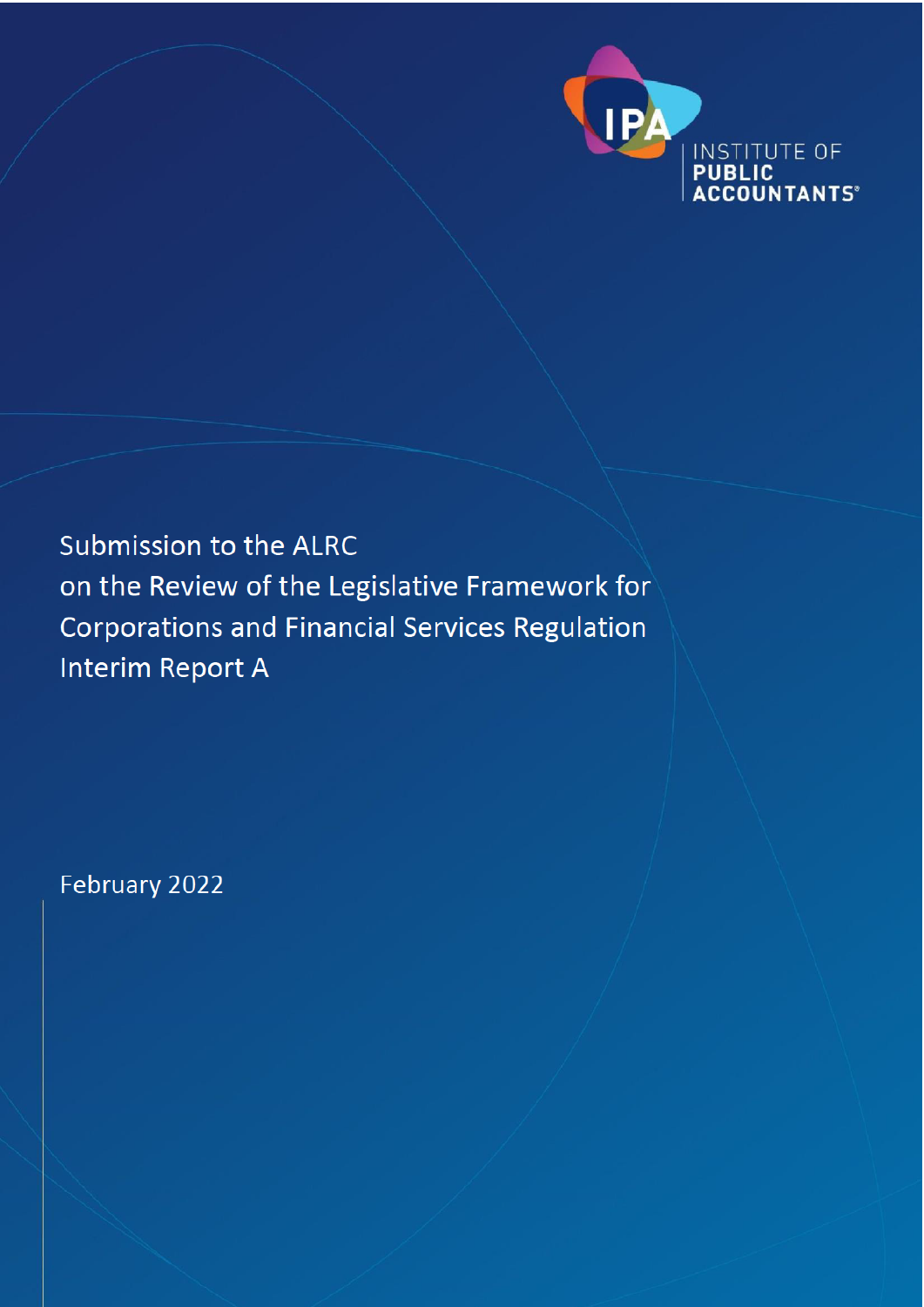

# Submission to the ALRC on the Review of the Legislative Framework for **Corporations and Financial Services Regulation Interim Report A**

February 2022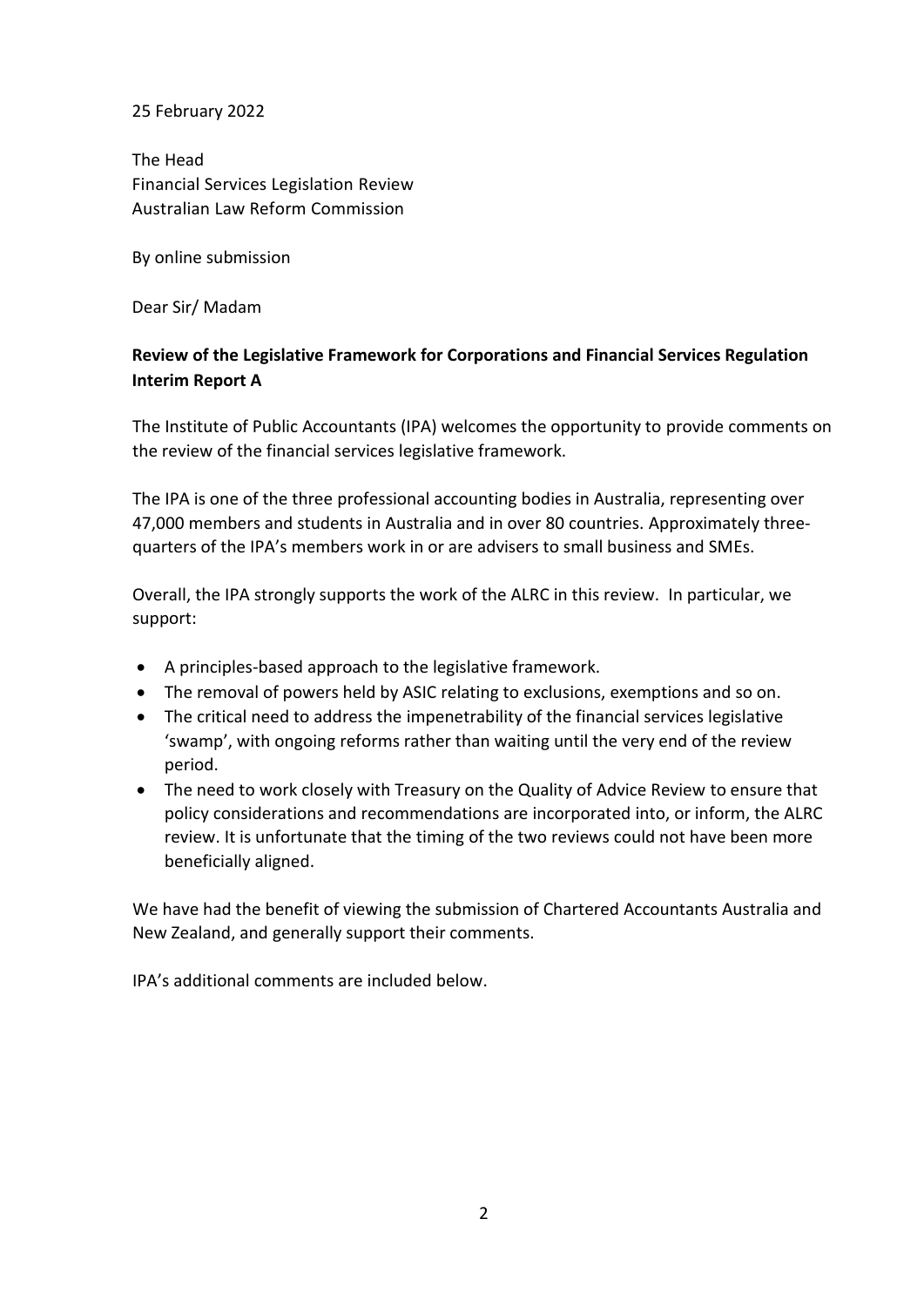### 25 February 2022

The Head Financial Services Legislation Review Australian Law Reform Commission

By online submission

Dear Sir/ Madam

## **Review of the Legislative Framework for Corporations and Financial Services Regulation Interim Report A**

The Institute of Public Accountants (IPA) welcomes the opportunity to provide comments on the review of the financial services legislative framework.

The IPA is one of the three professional accounting bodies in Australia, representing over 47,000 members and students in Australia and in over 80 countries. Approximately threequarters of the IPA's members work in or are advisers to small business and SMEs.

Overall, the IPA strongly supports the work of the ALRC in this review. In particular, we support:

- A principles-based approach to the legislative framework.
- The removal of powers held by ASIC relating to exclusions, exemptions and so on.
- The critical need to address the impenetrability of the financial services legislative 'swamp', with ongoing reforms rather than waiting until the very end of the review period.
- The need to work closely with Treasury on the Quality of Advice Review to ensure that policy considerations and recommendations are incorporated into, or inform, the ALRC review. It is unfortunate that the timing of the two reviews could not have been more beneficially aligned.

We have had the benefit of viewing the submission of Chartered Accountants Australia and New Zealand, and generally support their comments.

IPA's additional comments are included below.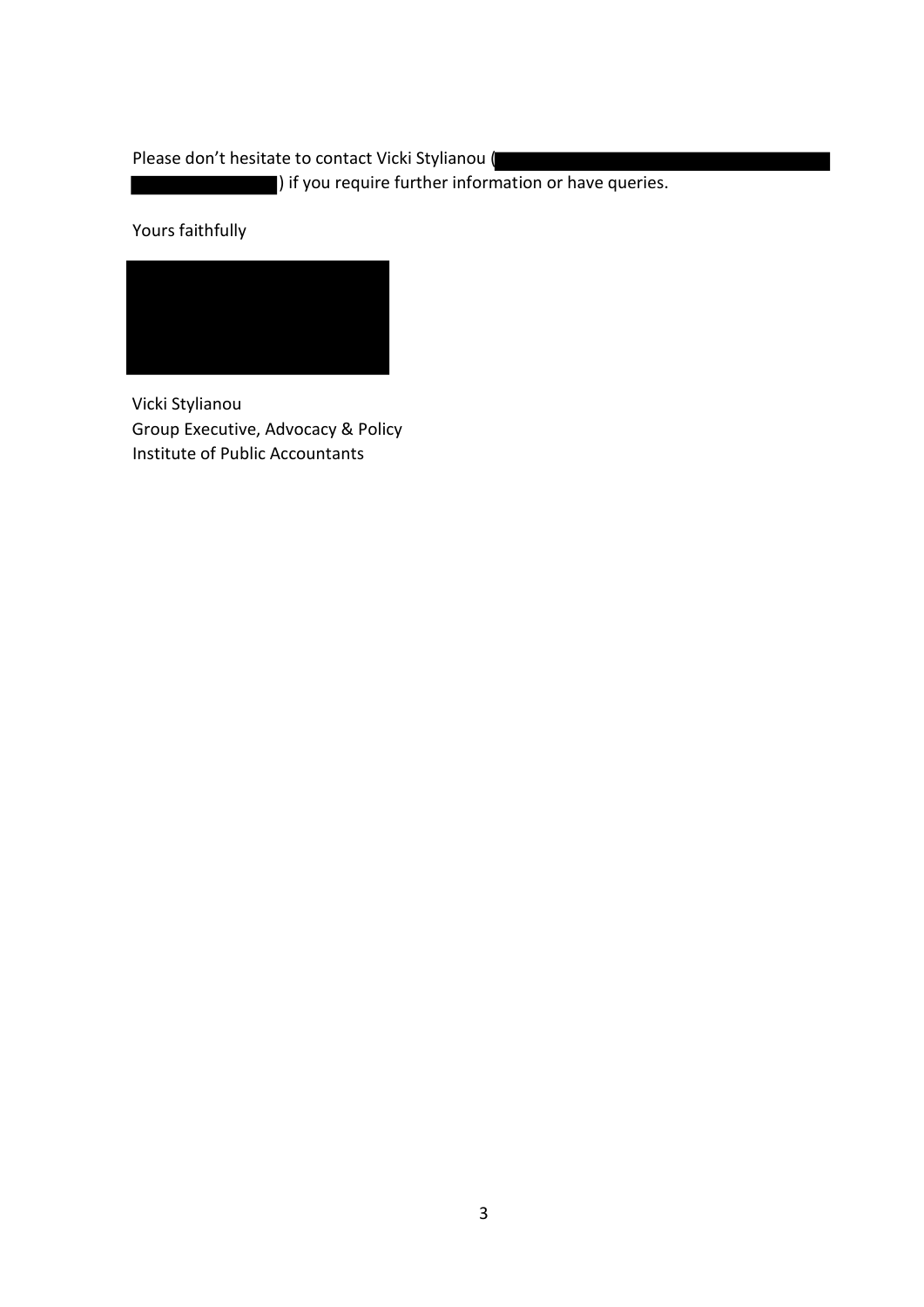Please don't hesitate to contact Vicki Stylianou (

) if you require further information or have queries.

Yours faithfully



Vicki Stylianou Group Executive, Advocacy & Policy Institute of Public Accountants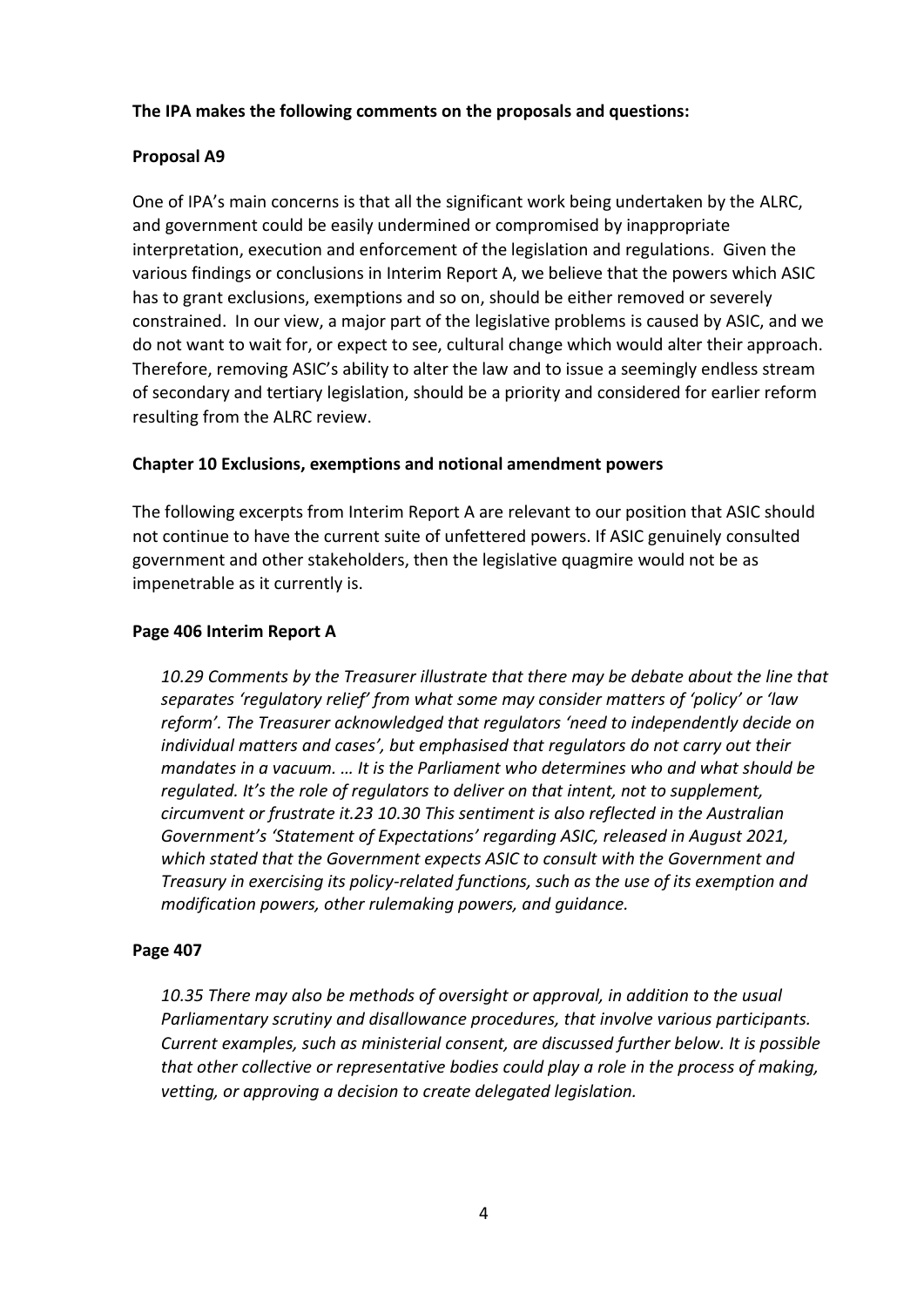#### **The IPA makes the following comments on the proposals and questions:**

#### **Proposal A9**

One of IPA's main concerns is that all the significant work being undertaken by the ALRC, and government could be easily undermined or compromised by inappropriate interpretation, execution and enforcement of the legislation and regulations. Given the various findings or conclusions in Interim Report A, we believe that the powers which ASIC has to grant exclusions, exemptions and so on, should be either removed or severely constrained. In our view, a major part of the legislative problems is caused by ASIC, and we do not want to wait for, or expect to see, cultural change which would alter their approach. Therefore, removing ASIC's ability to alter the law and to issue a seemingly endless stream of secondary and tertiary legislation, should be a priority and considered for earlier reform resulting from the ALRC review.

#### **Chapter 10 Exclusions, exemptions and notional amendment powers**

The following excerpts from Interim Report A are relevant to our position that ASIC should not continue to have the current suite of unfettered powers. If ASIC genuinely consulted government and other stakeholders, then the legislative quagmire would not be as impenetrable as it currently is.

#### **Page 406 Interim Report A**

*10.29 Comments by the Treasurer illustrate that there may be debate about the line that separates 'regulatory relief' from what some may consider matters of 'policy' or 'law reform'. The Treasurer acknowledged that regulators 'need to independently decide on individual matters and cases', but emphasised that regulators do not carry out their mandates in a vacuum. … It is the Parliament who determines who and what should be regulated. It's the role of regulators to deliver on that intent, not to supplement, circumvent or frustrate it.23 10.30 This sentiment is also reflected in the Australian Government's 'Statement of Expectations' regarding ASIC, released in August 2021, which stated that the Government expects ASIC to consult with the Government and Treasury in exercising its policy-related functions, such as the use of its exemption and modification powers, other rulemaking powers, and guidance.*

#### **Page 407**

*10.35 There may also be methods of oversight or approval, in addition to the usual Parliamentary scrutiny and disallowance procedures, that involve various participants. Current examples, such as ministerial consent, are discussed further below. It is possible that other collective or representative bodies could play a role in the process of making, vetting, or approving a decision to create delegated legislation.*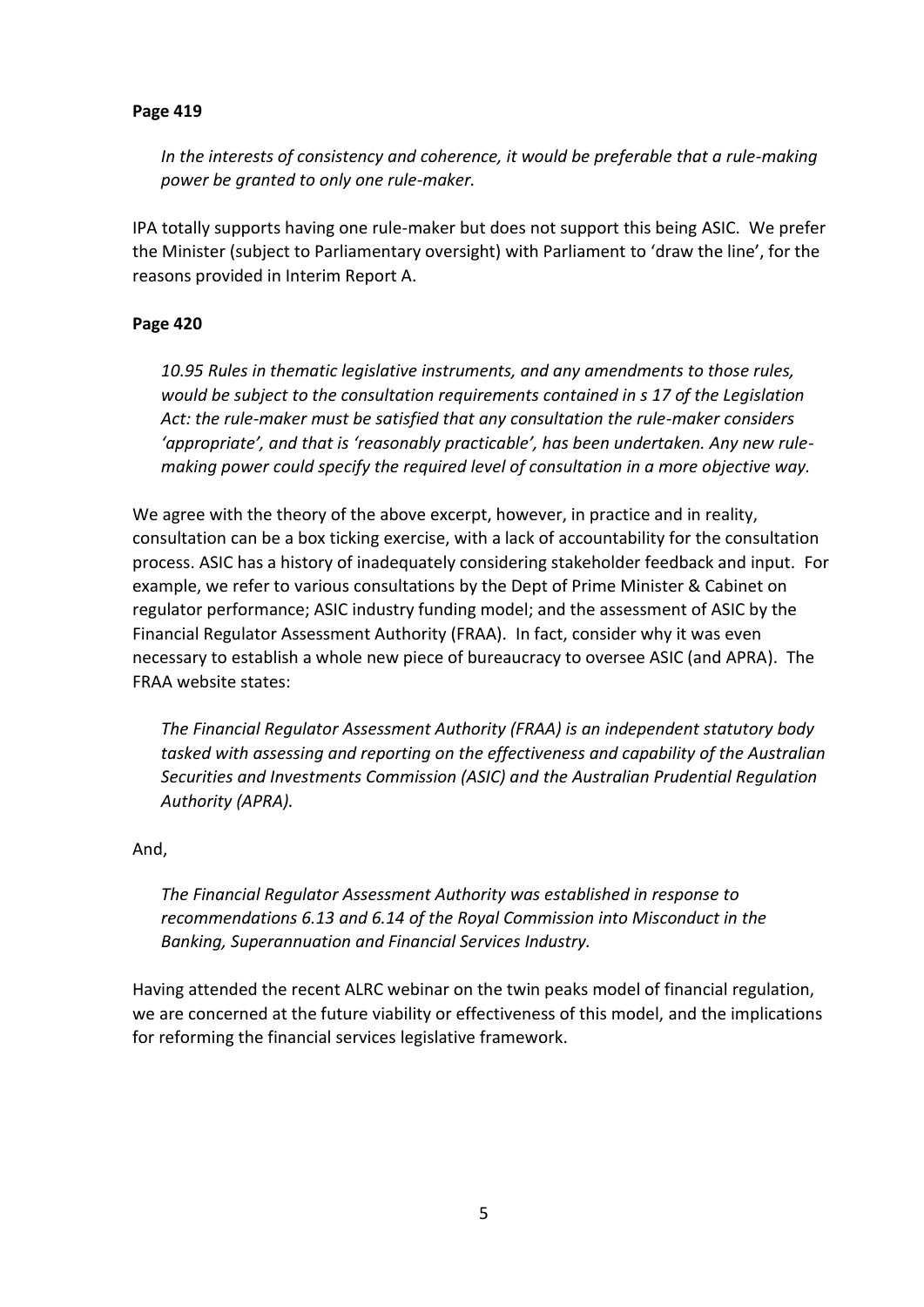#### **Page 419**

*In the interests of consistency and coherence, it would be preferable that a rule-making power be granted to only one rule-maker.*

IPA totally supports having one rule-maker but does not support this being ASIC. We prefer the Minister (subject to Parliamentary oversight) with Parliament to 'draw the line', for the reasons provided in Interim Report A.

### **Page 420**

*10.95 Rules in thematic legislative instruments, and any amendments to those rules, would be subject to the consultation requirements contained in s 17 of the Legislation Act: the rule-maker must be satisfied that any consultation the rule-maker considers 'appropriate', and that is 'reasonably practicable', has been undertaken. Any new rulemaking power could specify the required level of consultation in a more objective way.*

We agree with the theory of the above excerpt, however, in practice and in reality, consultation can be a box ticking exercise, with a lack of accountability for the consultation process. ASIC has a history of inadequately considering stakeholder feedback and input. For example, we refer to various consultations by the Dept of Prime Minister & Cabinet on regulator performance; ASIC industry funding model; and the assessment of ASIC by the Financial Regulator Assessment Authority (FRAA). In fact, consider why it was even necessary to establish a whole new piece of bureaucracy to oversee ASIC (and APRA). The FRAA website states:

*The Financial Regulator Assessment Authority (FRAA) is an independent statutory body tasked with assessing and reporting on the effectiveness and capability of the Australian Securities and Investments Commission (ASIC) and the Australian Prudential Regulation Authority (APRA).*

And,

*The Financial Regulator Assessment Authority was established in response to recommendations 6.13 and 6.14 of the Royal Commission into Misconduct in the Banking, Superannuation and Financial Services Industry.*

Having attended the recent ALRC webinar on the twin peaks model of financial regulation, we are concerned at the future viability or effectiveness of this model, and the implications for reforming the financial services legislative framework.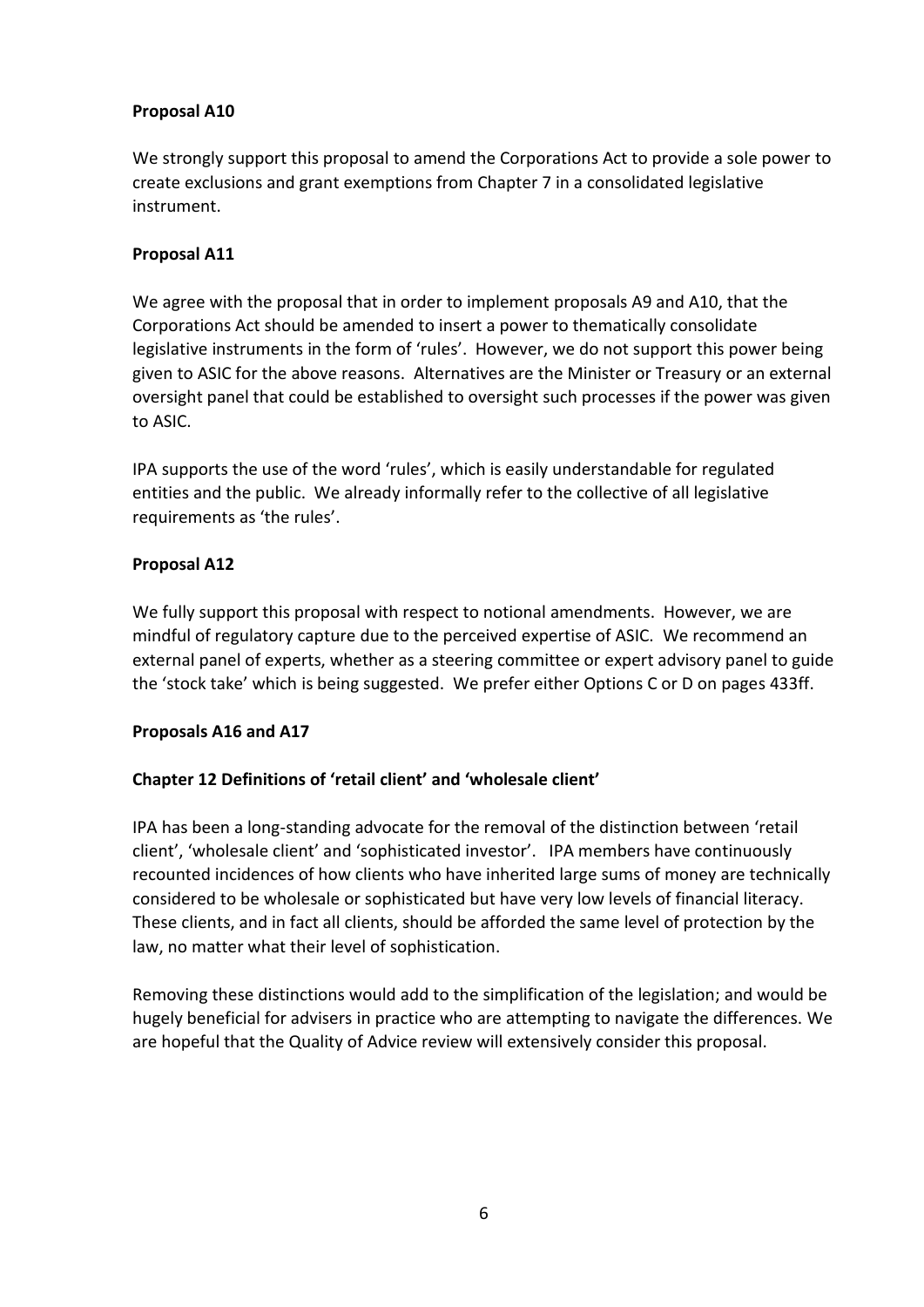## **Proposal A10**

We strongly support this proposal to amend the Corporations Act to provide a sole power to create exclusions and grant exemptions from Chapter 7 in a consolidated legislative instrument.

## **Proposal A11**

We agree with the proposal that in order to implement proposals A9 and A10, that the Corporations Act should be amended to insert a power to thematically consolidate legislative instruments in the form of 'rules'. However, we do not support this power being given to ASIC for the above reasons. Alternatives are the Minister or Treasury or an external oversight panel that could be established to oversight such processes if the power was given to ASIC.

IPA supports the use of the word 'rules', which is easily understandable for regulated entities and the public. We already informally refer to the collective of all legislative requirements as 'the rules'.

## **Proposal A12**

We fully support this proposal with respect to notional amendments. However, we are mindful of regulatory capture due to the perceived expertise of ASIC. We recommend an external panel of experts, whether as a steering committee or expert advisory panel to guide the 'stock take' which is being suggested. We prefer either Options C or D on pages 433ff.

# **Proposals A16 and A17**

# **Chapter 12 Definitions of 'retail client' and 'wholesale client'**

IPA has been a long-standing advocate for the removal of the distinction between 'retail client', 'wholesale client' and 'sophisticated investor'. IPA members have continuously recounted incidences of how clients who have inherited large sums of money are technically considered to be wholesale or sophisticated but have very low levels of financial literacy. These clients, and in fact all clients, should be afforded the same level of protection by the law, no matter what their level of sophistication.

Removing these distinctions would add to the simplification of the legislation; and would be hugely beneficial for advisers in practice who are attempting to navigate the differences. We are hopeful that the Quality of Advice review will extensively consider this proposal.